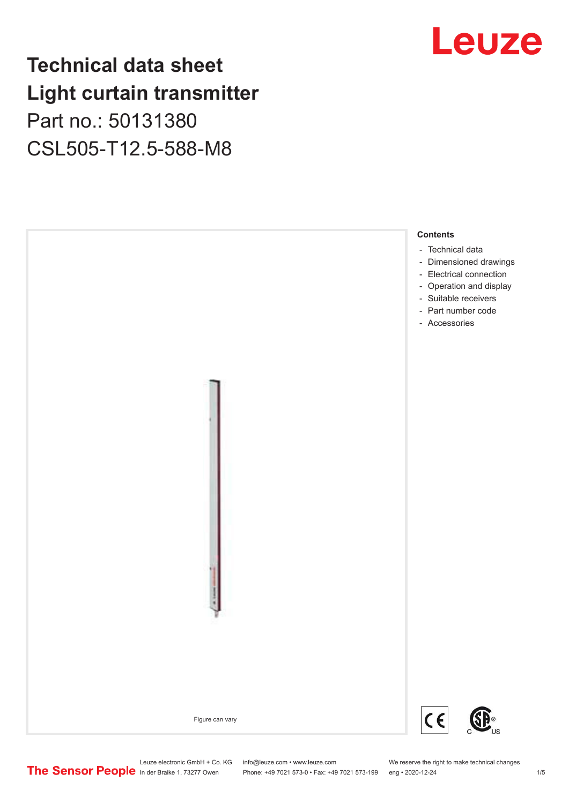# **Technical data sheet Light curtain transmitter** Part no.: 50131380

CSL505-T12.5-588-M8





Phone: +49 7021 573-0 • Fax: +49 7021 573-199 eng • 2020-12-24 1 2020-12-24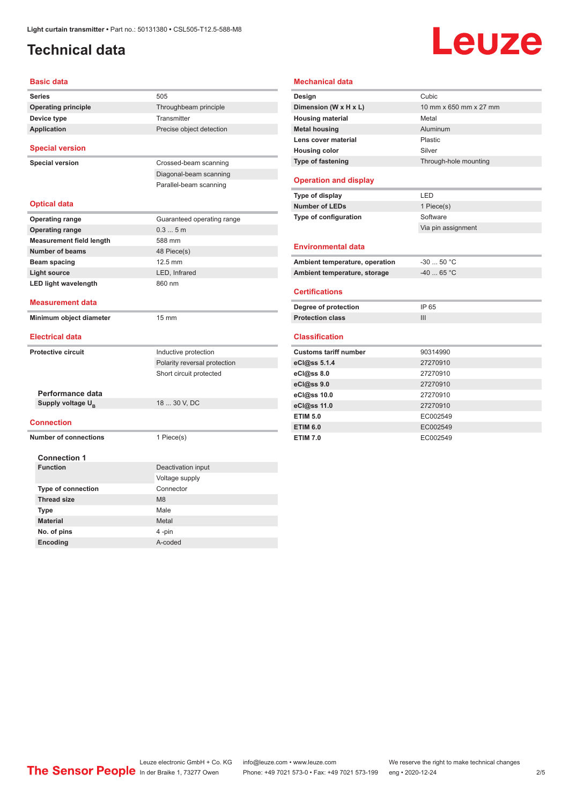# <span id="page-1-0"></span>**Technical data**

# Leuze

| <b>Basic data</b>               |                              |
|---------------------------------|------------------------------|
| <b>Series</b>                   | 505                          |
| <b>Operating principle</b>      | Throughbeam principle        |
| Device type                     | Transmitter                  |
| Application                     | Precise object detection     |
| <b>Special version</b>          |                              |
| <b>Special version</b>          | Crossed-beam scanning        |
|                                 | Diagonal-beam scanning       |
|                                 | Parallel-beam scanning       |
| <b>Optical data</b>             |                              |
| <b>Operating range</b>          | Guaranteed operating range   |
| <b>Operating range</b>          | 0.35m                        |
| <b>Measurement field length</b> | 588 mm                       |
| <b>Number of beams</b>          | 48 Piece(s)                  |
| Beam spacing                    | 12.5 mm                      |
| <b>Light source</b>             | LED, Infrared                |
| <b>LED light wavelength</b>     | 860 nm                       |
| <b>Measurement data</b>         |                              |
|                                 |                              |
| Minimum object diameter         | $15 \text{ mm}$              |
| <b>Electrical data</b>          |                              |
| <b>Protective circuit</b>       | Inductive protection         |
|                                 | Polarity reversal protection |
|                                 | Short circuit protected      |
|                                 |                              |
| Performance data                |                              |
| Supply voltage U <sub>B</sub>   | 18  30 V, DC                 |
| <b>Connection</b>               |                              |
| <b>Number of connections</b>    | 1 Piece(s)                   |
| <b>Connection 1</b>             |                              |
| <b>Function</b>                 | Deactivation input           |
|                                 | Voltage supply               |
| Type of connection              | Connector                    |
| <b>Thread size</b>              | M <sub>8</sub>               |
| Type                            | Male                         |
| <b>Material</b>                 | Metal                        |
| No. of pins                     | 4-pin                        |

| Design                                                                                                                                                                                                                                                                                                              | Cubic                  |  |
|---------------------------------------------------------------------------------------------------------------------------------------------------------------------------------------------------------------------------------------------------------------------------------------------------------------------|------------------------|--|
| Dimension (W x H x L)                                                                                                                                                                                                                                                                                               | 10 mm x 650 mm x 27 mm |  |
| <b>Housing material</b>                                                                                                                                                                                                                                                                                             | Metal                  |  |
| <b>Metal housing</b>                                                                                                                                                                                                                                                                                                | Aluminum               |  |
| Lens cover material                                                                                                                                                                                                                                                                                                 | Plastic                |  |
| <b>Housing color</b>                                                                                                                                                                                                                                                                                                | Silver                 |  |
| Type of fastening                                                                                                                                                                                                                                                                                                   | Through-hole mounting  |  |
| <b>Operation and display</b>                                                                                                                                                                                                                                                                                        |                        |  |
| Type of display                                                                                                                                                                                                                                                                                                     | LED                    |  |
| <b>Number of LEDs</b>                                                                                                                                                                                                                                                                                               | 1 Piece(s)             |  |
| Type of configuration                                                                                                                                                                                                                                                                                               | Software               |  |
|                                                                                                                                                                                                                                                                                                                     | Via pin assignment     |  |
| <b>Environmental data</b>                                                                                                                                                                                                                                                                                           |                        |  |
|                                                                                                                                                                                                                                                                                                                     |                        |  |
|                                                                                                                                                                                                                                                                                                                     | $-3050 °C$             |  |
|                                                                                                                                                                                                                                                                                                                     | $-40$ 65 °C            |  |
|                                                                                                                                                                                                                                                                                                                     |                        |  |
|                                                                                                                                                                                                                                                                                                                     | IP 65                  |  |
|                                                                                                                                                                                                                                                                                                                     | III                    |  |
|                                                                                                                                                                                                                                                                                                                     |                        |  |
|                                                                                                                                                                                                                                                                                                                     | 90314990               |  |
|                                                                                                                                                                                                                                                                                                                     | 27270910               |  |
|                                                                                                                                                                                                                                                                                                                     | 27270910               |  |
|                                                                                                                                                                                                                                                                                                                     | 27270910               |  |
|                                                                                                                                                                                                                                                                                                                     | 27270910               |  |
|                                                                                                                                                                                                                                                                                                                     | 27270910               |  |
|                                                                                                                                                                                                                                                                                                                     | EC002549               |  |
| Ambient temperature, operation<br>Ambient temperature, storage<br><b>Certifications</b><br>Degree of protection<br><b>Protection class</b><br><b>Classification</b><br><b>Customs tariff number</b><br>eCl@ss 5.1.4<br>eCl@ss 8.0<br>eCl@ss 9.0<br>eCl@ss 10.0<br>eCl@ss 11.0<br><b>ETIM 5.0</b><br><b>ETIM 6.0</b> | EC002549               |  |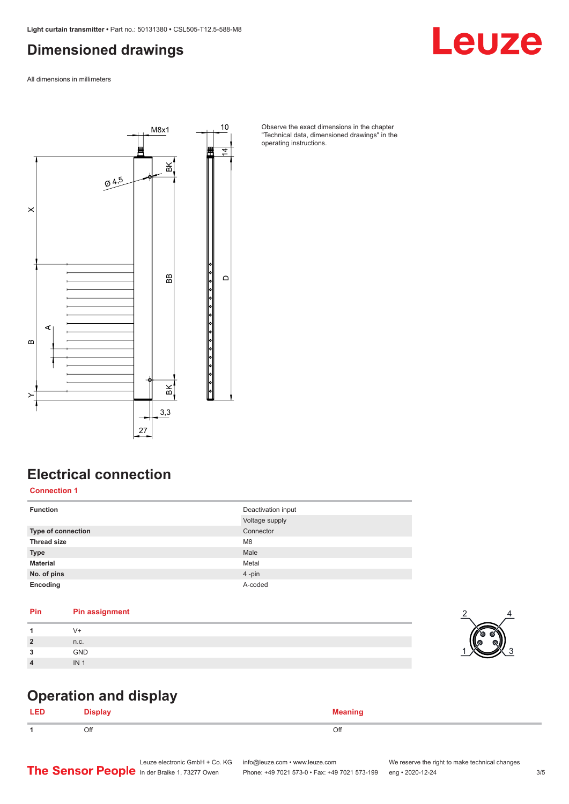## <span id="page-2-0"></span>**Dimensioned drawings**

Leuze

All dimensions in millimeters



Observe the exact dimensions in the chapter "Technical data, dimensioned drawings" in the operating instructions.

# **Electrical connection**

**Connection 1**

| <b>Function</b>    | Deactivation input<br>Voltage supply |
|--------------------|--------------------------------------|
| Type of connection | Connector                            |
| <b>Thread size</b> | M <sub>8</sub>                       |
| <b>Type</b>        | Male                                 |
| <b>Material</b>    | Metal                                |
| No. of pins        | 4-pin                                |
| Encoding           | A-coded                              |

#### **Pin Pin assignment**

| $\overline{2}$ | n.c.       |
|----------------|------------|
| <b>n</b>       | <b>GND</b> |
| 4              | IN.        |



## **Operation and display**

| LED | --<br>Nienlaw<br>Pispiay | Moanin<br> |
|-----|--------------------------|------------|
| -1  | Off                      | Off        |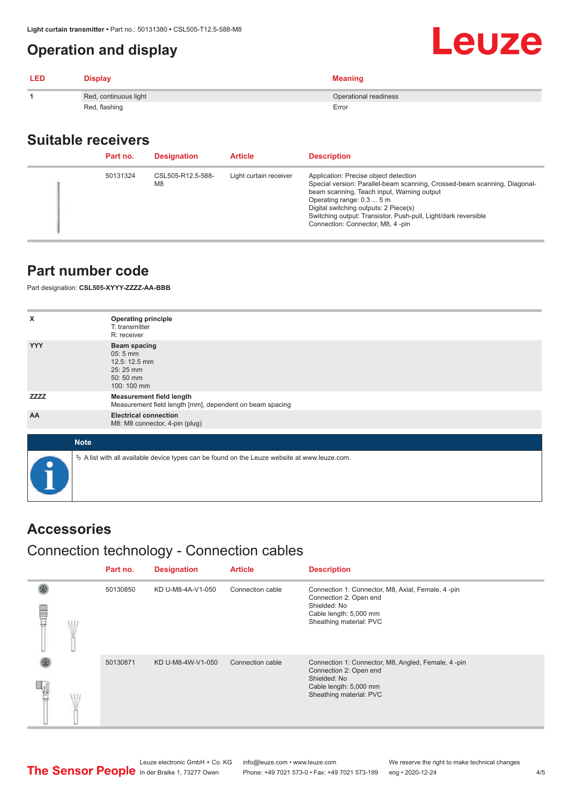## <span id="page-3-0"></span>**Operation and display**

| LED | <b>Display</b>        | <b>Meaning</b>        |
|-----|-----------------------|-----------------------|
|     | Red, continuous light | Operational readiness |
|     | Red, flashing         | Error                 |

#### **Suitable receivers**

| Part no. | <b>Designation</b>                  | <b>Article</b>         | <b>Description</b>                                                                                                                                                                                                                                                                                                                           |
|----------|-------------------------------------|------------------------|----------------------------------------------------------------------------------------------------------------------------------------------------------------------------------------------------------------------------------------------------------------------------------------------------------------------------------------------|
| 50131324 | CSL505-R12.5-588-<br>M <sub>8</sub> | Light curtain receiver | Application: Precise object detection<br>Special version: Parallel-beam scanning, Crossed-beam scanning, Diagonal-<br>beam scanning, Teach input, Warning output<br>Operating range: 0.3  5 m<br>Digital switching outputs: 2 Piece(s)<br>Switching output: Transistor, Push-pull, Light/dark reversible<br>Connection: Connector, M8, 4-pin |

#### **Part number code**

Part designation: **CSL505-XYYY-ZZZZ-AA-BBB**

| x           | <b>Operating principle</b><br>T: transmitter                                                    |
|-------------|-------------------------------------------------------------------------------------------------|
|             | R: receiver                                                                                     |
| <b>YYY</b>  | <b>Beam spacing</b><br>05:5 mm<br>12.5: 12.5 mm<br>25:25 mm<br>50:50 mm<br>100: 100 mm          |
| <b>ZZZZ</b> | <b>Measurement field length</b><br>Measurement field length [mm], dependent on beam spacing     |
| AA          | <b>Electrical connection</b><br>M8: M8 connector, 4-pin (plug)                                  |
|             |                                                                                                 |
| <b>Note</b> |                                                                                                 |
| $\bullet$   | $\&$ A list with all available device types can be found on the Leuze website at www.leuze.com. |

#### **Accessories**

# Connection technology - Connection cables

|   | Part no. | <b>Designation</b> | <b>Article</b>   | <b>Description</b>                                                                                                                                |
|---|----------|--------------------|------------------|---------------------------------------------------------------------------------------------------------------------------------------------------|
| ₩ | 50130850 | KD U-M8-4A-V1-050  | Connection cable | Connection 1: Connector, M8, Axial, Female, 4-pin<br>Connection 2: Open end<br>Shielded: No<br>Cable length: 5,000 mm<br>Sheathing material: PVC  |
|   | 50130871 | KD U-M8-4W-V1-050  | Connection cable | Connection 1: Connector, M8, Angled, Female, 4-pin<br>Connection 2: Open end<br>Shielded: No<br>Cable length: 5,000 mm<br>Sheathing material: PVC |

Leuze